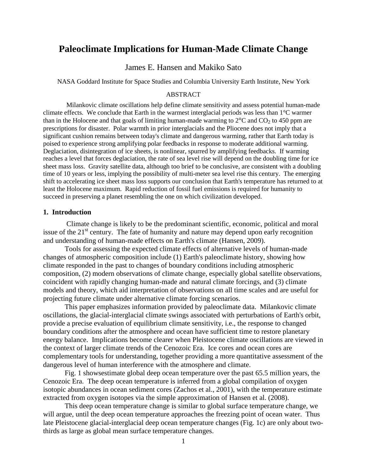# **Paleoclimate Implications for Human-Made Climate Change**

# James E. Hansen and Makiko Sato

NASA Goddard Institute for Space Studies and Columbia University Earth Institute, New York

#### ABSTRACT

Milankovic climate oscillations help define climate sensitivity and assess potential human-made climate effects. We conclude that Earth in the warmest interglacial periods was less than 1°C warmer than in the Holocene and that goals of limiting human-made warming to  $2^{\circ}$ C and CO<sub>2</sub> to 450 ppm are prescriptions for disaster. Polar warmth in prior interglacials and the Pliocene does not imply that a significant cushion remains between today's climate and dangerous warming, rather that Earth today is poised to experience strong amplifying polar feedbacks in response to moderate additional warming. Deglaciation, disintegration of ice sheets, is nonlinear, spurred by amplifying feedbacks. If warming reaches a level that forces deglaciation, the rate of sea level rise will depend on the doubling time for ice sheet mass loss. Gravity satellite data, although too brief to be conclusive, are consistent with a doubling time of 10 years or less, implying the possibility of multi-meter sea level rise this century. The emerging shift to accelerating ice sheet mass loss supports our conclusion that Earth's temperature has returned to at least the Holocene maximum. Rapid reduction of fossil fuel emissions is required for humanity to succeed in preserving a planet resembling the one on which civilization developed.

# **1. Introduction**

Climate change is likely to be the predominant scientific, economic, political and moral issue of the  $21<sup>st</sup>$  century. The fate of humanity and nature may depend upon early recognition and understanding of human-made effects on Earth's climate (Hansen, 2009).

Tools for assessing the expected climate effects of alternative levels of human-made changes of atmospheric composition include (1) Earth's paleoclimate history, showing how climate responded in the past to changes of boundary conditions including atmospheric composition, (2) modern observations of climate change, especially global satellite observations, coincident with rapidly changing human-made and natural climate forcings, and (3) climate models and theory, which aid interpretation of observations on all time scales and are useful for projecting future climate under alternative climate forcing scenarios.

This paper emphasizes information provided by paleoclimate data. Milankovic climate oscillations, the glacial-interglacial climate swings associated with perturbations of Earth's orbit, provide a precise evaluation of equilibrium climate sensitivity, i.e., the response to changed boundary conditions after the atmosphere and ocean have sufficient time to restore planetary energy balance. Implications become clearer when Pleistocene climate oscillations are viewed in the context of larger climate trends of the Cenozoic Era. Ice cores and ocean cores are complementary tools for understanding, together providing a more quantitative assessment of the dangerous level of human interference with the atmosphere and climate.

Fig. 1 showsestimate global deep ocean temperature over the past 65.5 million years, the Cenozoic Era. The deep ocean temperature is inferred from a global compilation of oxygen isotopic abundances in ocean sediment cores (Zachos et al., 2001), with the temperature estimate extracted from oxygen isotopes via the simple approximation of Hansen et al. (2008).

This deep ocean temperature change is similar to global surface temperature change, we will argue, until the deep ocean temperature approaches the freezing point of ocean water. Thus late Pleistocene glacial-interglacial deep ocean temperature changes (Fig. 1c) are only about twothirds as large as global mean surface temperature changes.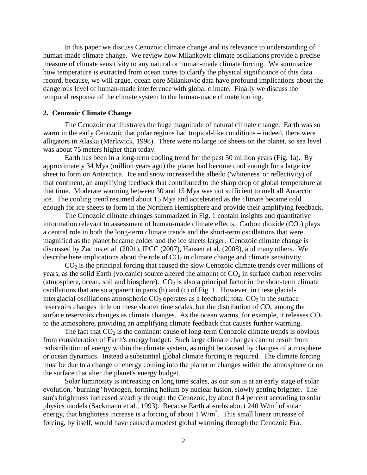In this paper we discuss Cenozoic climate change and its relevance to understanding of human-made climate change. We review how Milankovic climate oscillations provide a precise measure of climate sensitivity to any natural or human-made climate forcing. We summarize how temperature is extracted from ocean cores to clarify the physical significance of this data record, because, we will argue, ocean core Milankovic data have profound implications about the dangerous level of human-made interference with global climate. Finally we discuss the temporal response of the climate system to the human-made climate forcing.

# **2. Cenozoic Climate Change**

The Cenozoic era illustrates the huge magnitude of natural climate change. Earth was so warm in the early Cenozoic that polar regions had tropical-like conditions – indeed, there were alligators in Alaska (Markwick, 1998). There were no large ice sheets on the planet, so sea level was about 75 meters higher than today.

Earth has been in a long-term cooling trend for the past 50 million years (Fig. 1a). By approximately 34 Mya (million years ago) the planet had become cool enough for a large ice sheet to form on Antarctica. Ice and snow increased the albedo ('whiteness' or reflectivity) of that continent, an amplifying feedback that contributed to the sharp drop of global temperature at that time. Moderate warming between 30 and 15 Mya was not sufficient to melt all Antarctic ice. The cooling trend resumed about 15 Mya and accelerated as the climate became cold enough for ice sheets to form in the Northern Hemisphere and provide their amplifying feedback.

The Cenozoic climate changes summarized in Fig. 1 contain insights and quantitative information relevant to assessment of human-made climate effects. Carbon dioxide  $(CO_2)$  plays a central role in both the long-term climate trends and the short-term oscillations that were magnified as the planet became colder and the ice sheets larger. Cenozoic climate change is discussed by Zachos et al. (2001), IPCC (2007), Hansen et al. (2008), and many others. We describe here implications about the role of  $CO<sub>2</sub>$  in climate change and climate sensitivity.

 $CO<sub>2</sub>$  is the principal forcing that caused the slow Cenozoic climate trends over millions of years, as the solid Earth (volcanic) source altered the amount of  $CO<sub>2</sub>$  in surface carbon reservoirs (atmosphere, ocean, soil and biosphere).  $CO<sub>2</sub>$  is also a principal factor in the short-term climate oscillations that are so apparent in parts (b) and (c) of Fig. 1. However, in these glacialinterglacial oscillations atmospheric  $CO<sub>2</sub>$  operates as a feedback: total  $CO<sub>2</sub>$  in the surface reservoirs changes little on these shorter time scales, but the distribution of  $CO<sub>2</sub>$  among the surface reservoirs changes as climate changes. As the ocean warms, for example, it releases  $CO<sub>2</sub>$ to the atmosphere, providing an amplifying climate feedback that causes further warming.

The fact that  $CO<sub>2</sub>$  is the dominant cause of long-term Cenozoic climate trends is obvious from consideration of Earth's energy budget. Such large climate changes cannot result from redistribution of energy within the climate system, as might be caused by changes of atmosphere or ocean dynamics. Instead a substantial global climate forcing is required. The climate forcing must be due to a change of energy coming into the planet or changes within the atmosphere or on the surface that alter the planet's energy budget.

Solar luminosity is increasing on long time scales, as our sun is at an early stage of solar evolution, "burning" hydrogen, forming helium by nuclear fusion, slowly getting brighter. The sun's brightness increased steadily through the Cenozoic, by about 0.4 percent according to solar physics models (Sackmann et al., 1993). Because Earth absorbs about 240 W/m<sup>2</sup> of solar energy, that brightness increase is a forcing of about  $1 \text{ W/m}^2$ . This small linear increase of forcing, by itself, would have caused a modest global warming through the Cenozoic Era.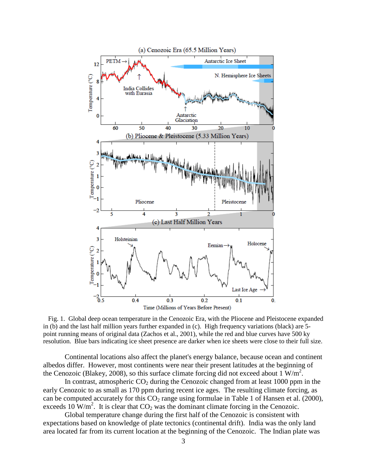

 Fig. 1. Global deep ocean temperature in the Cenozoic Era, with the Pliocene and Pleistocene expanded in (b) and the last half million years further expanded in (c). High frequency variations (black) are 5 point running means of original data (Zachos et al., 2001), while the red and blue curves have 500 ky resolution. Blue bars indicating ice sheet presence are darker when ice sheets were close to their full size.

Continental locations also affect the planet's energy balance, because ocean and continent albedos differ. However, most continents were near their present latitudes at the beginning of the Cenozoic (Blakey, 2008), so this surface climate forcing did not exceed about 1  $W/m<sup>2</sup>$ .

In contrast, atmospheric  $CO<sub>2</sub>$  during the Cenozoic changed from at least 1000 ppm in the early Cenozoic to as small as 170 ppm during recent ice ages. The resulting climate forcing, as can be computed accurately for this  $CO<sub>2</sub>$  range using formulae in Table 1 of Hansen et al. (2000), exceeds 10  $W/m^2$ . It is clear that  $CO_2$  was the dominant climate forcing in the Cenozoic.

Global temperature change during the first half of the Cenozoic is consistent with expectations based on knowledge of plate tectonics (continental drift). India was the only land area located far from its current location at the beginning of the Cenozoic. The Indian plate was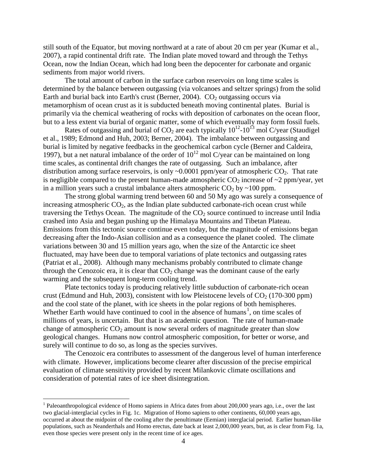still south of the Equator, but moving northward at a rate of about 20 cm per year (Kumar et al., 2007), a rapid continental drift rate. The Indian plate moved toward and through the Tethys Ocean, now the Indian Ocean, which had long been the depocenter for carbonate and organic sediments from major world rivers.

The total amount of carbon in the surface carbon reservoirs on long time scales is determined by the balance between outgassing (via volcanoes and seltzer springs) from the solid Earth and burial back into Earth's crust (Berner, 2004).  $CO<sub>2</sub>$  outgassing occurs via metamorphism of ocean crust as it is subducted beneath moving continental plates. Burial is primarily via the chemical weathering of rocks with deposition of carbonates on the ocean floor, but to a less extent via burial of organic matter, some of which eventually may form fossil fuels.

Rates of outgassing and burial of  $CO_2$  are each typically  $10^{12}$ - $10^{13}$  mol C/year (Staudigel et al., 1989; Edmond and Huh, 2003; Berner, 2004). The imbalance between outgassing and burial is limited by negative feedbacks in the geochemical carbon cycle (Berner and Caldeira, 1997), but a net natural imbalance of the order of  $10^{12}$  mol C/year can be maintained on long time scales, as continental drift changes the rate of outgassing. Such an imbalance, after distribution among surface reservoirs, is only  $\sim 0.0001$  ppm/year of atmospheric CO<sub>2</sub>. That rate is negligible compared to the present human-made atmospheric  $CO<sub>2</sub>$  increase of  $\sim$ 2 ppm/year, yet in a million years such a crustal imbalance alters atmospheric  $CO<sub>2</sub>$  by ~100 ppm.

The strong global warming trend between 60 and 50 My ago was surely a consequence of increasing atmospheric  $CO<sub>2</sub>$ , as the Indian plate subducted carbonate-rich ocean crust while traversing the Tethys Ocean. The magnitude of the  $CO<sub>2</sub>$  source continued to increase until India crashed into Asia and began pushing up the Himalaya Mountains and Tibetan Plateau. Emissions from this tectonic source continue even today, but the magnitude of emissions began decreasing after the Indo-Asian collision and as a consequence the planet cooled. The climate variations between 30 and 15 million years ago, when the size of the Antarctic ice sheet fluctuated, may have been due to temporal variations of plate tectonics and outgassing rates (Patriat et al., 2008). Although many mechanisms probably contributed to climate change through the Cenozoic era, it is clear that  $CO<sub>2</sub>$  change was the dominant cause of the early warming and the subsequent long-term cooling trend.

Plate tectonics today is producing relatively little subduction of carbonate-rich ocean crust (Edmund and Huh, 2003), consistent with low Pleistocene levels of  $CO<sub>2</sub>$  (170-300 ppm) and the cool state of the planet, with ice sheets in the polar regions of both hemispheres. Whether Earth would have continued to cool in the absence of humans<sup>[1](#page-3-0)</sup>, on time scales of millions of years, is uncertain. But that is an academic question. The rate of human-made change of atmospheric  $CO<sub>2</sub>$  amount is now several orders of magnitude greater than slow geological changes. Humans now control atmospheric composition, for better or worse, and surely will continue to do so, as long as the species survives.

The Cenozoic era contributes to assessment of the dangerous level of human interference with climate. However, implications become clearer after discussion of the precise empirical evaluation of climate sensitivity provided by recent Milankovic climate oscillations and consideration of potential rates of ice sheet disintegration.

<span id="page-3-0"></span> $1$  Paleoanthropological evidence of Homo sapiens in Africa dates from about 200,000 years ago, i.e., over the last two glacial-interglacial cycles in Fig. 1c. Migration of Homo sapiens to other continents, 60,000 years ago, occurred at about the midpoint of the cooling after the penultimate (Eemian) interglacial period. Earlier human-like populations, such as Neanderthals and Homo erectus, date back at least 2,000,000 years, but, as is clear from Fig. 1a, even those species were present only in the recent time of ice ages.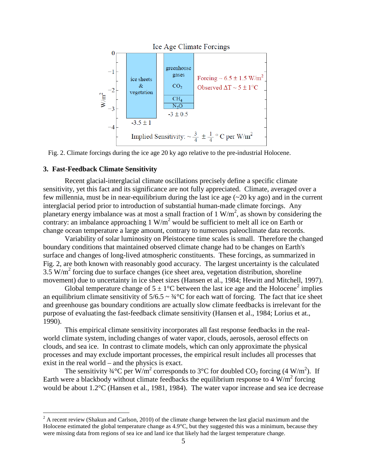

Fig. 2. Climate forcings during the ice age 20 ky ago relative to the pre-industrial Holocene.

#### **3. Fast-Feedback Climate Sensitivity**

Recent glacial-interglacial climate oscillations precisely define a specific climate sensitivity, yet this fact and its significance are not fully appreciated. Climate, averaged over a few millennia, must be in near-equilibrium during the last ice age (~20 ky ago) and in the current interglacial period prior to introduction of substantial human-made climate forcings. Any planetary energy imbalance was at most a small fraction of  $1 \text{ W/m}^2$ , as shown by considering the contrary: an imbalance approaching  $1 \text{ W/m}^2$  would be sufficient to melt all ice on Earth or change ocean temperature a large amount, contrary to numerous paleoclimate data records.

Variability of solar luminosity on Pleistocene time scales is small. Therefore the changed boundary conditions that maintained observed climate change had to be changes on Earth's surface and changes of long-lived atmospheric constituents. These forcings, as summarized in Fig. 2, are both known with reasonably good accuracy. The largest uncertainty is the calculated  $3.5 \text{ W/m}^2$  forcing due to surface changes (ice sheet area, vegetation distribution, shoreline movement) due to uncertainty in ice sheet sizes (Hansen et al., 1984; Hewitt and Mitchell, 1997).

Global temperature change of  $5 \pm 1$ °C between the last ice age and the Holocene<sup>[2](#page-4-0)</sup> implies an equilibrium climate sensitivity of  $5/6.5 \sim \frac{3}{4}^{\circ}C$  for each watt of forcing. The fact that ice sheet and greenhouse gas boundary conditions are actually slow climate feedbacks is irrelevant for the purpose of evaluating the fast-feedback climate sensitivity (Hansen et al., 1984; Lorius et at., 1990).

This empirical climate sensitivity incorporates all fast response feedbacks in the realworld climate system, including changes of water vapor, clouds, aerosols, aerosol effects on clouds, and sea ice. In contrast to climate models, which can only approximate the physical processes and may exclude important processes, the empirical result includes all processes that exist in the real world – and the physics is exact.

The sensitivity  $\frac{3}{4}$ °C per W/m<sup>2</sup> corresponds to 3°C for doubled CO<sub>2</sub> forcing (4 W/m<sup>2</sup>). If Earth were a blackbody without climate feedbacks the equilibrium response to 4  $W/m^2$  forcing would be about 1.2°C (Hansen et al., 1981, 1984). The water vapor increase and sea ice decrease

<span id="page-4-0"></span> $2 \text{ A recent review (Shakun and Carlson, 2010) of the climate change between the last glacial maximum and the$ Holocene estimated the global temperature change as 4.9°C, but they suggested this was a minimum, because they were missing data from regions of sea ice and land ice that likely had the largest temperature change.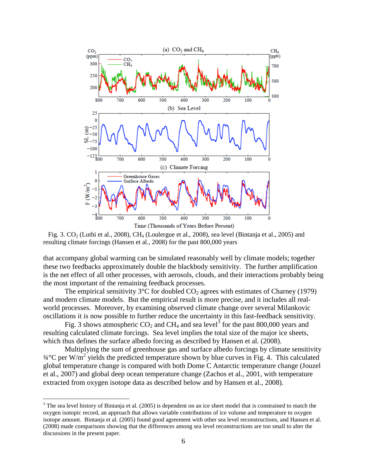

Fig. 3. CO<sub>2</sub> (Luthi et al., 2008), CH<sub>4</sub> (Loulergue et al., 2008), sea level (Bintanja et al., 2005) and resulting climate forcings (Hansen et al., 2008) for the past 800,000 years

that accompany global warming can be simulated reasonably well by climate models; together these two feedbacks approximately double the blackbody sensitivity. The further amplification is the net effect of all other processes, with aerosols, clouds, and their interactions probably being the most important of the remaining feedback processes.

The empirical sensitivity  $3^{\circ}$ C for doubled  $CO_2$  agrees with estimates of Charney (1979) and modern climate models. But the empirical result is more precise, and it includes all realworld processes. Moreover, by examining observed climate change over several Milankovic oscillations it is now possible to further reduce the uncertainty in this fast-feedback sensitivity.

Fig. [3](#page-5-0) shows atmospheric  $CO_2$  and  $CH_4$  and sea level<sup>3</sup> for the past 800,000 years and resulting calculated climate forcings. Sea level implies the total size of the major ice sheets, which thus defines the surface albedo forcing as described by Hansen et al. (2008).

Multiplying the sum of greenhouse gas and surface albedo forcings by climate sensitivity  $\frac{3}{4}$ °C per W/m<sup>2</sup> yields the predicted temperature shown by blue curves in Fig. 4. This calculated global temperature change is compared with both Dome C Antarctic temperature change (Jouzel et al., 2007) and global deep ocean temperature change (Zachos et al., 2001, with temperature extracted from oxygen isotope data as described below and by Hansen et al., 2008).

<span id="page-5-0"></span><sup>&</sup>lt;sup>3</sup> The sea level history of Bintanja et al. (2005) is dependent on an ice sheet model that is constrained to match the oxygen isotopic record, an approach that allows variable contributions of ice volume and temperature to oxygen isotope amount. Bintanja et al. (2005) found good agreement with other sea level reconstructions, and Hansen et al. (2008) made comparisons showing that the differences among sea level reconstructions are too small to alter the discussions in the present paper.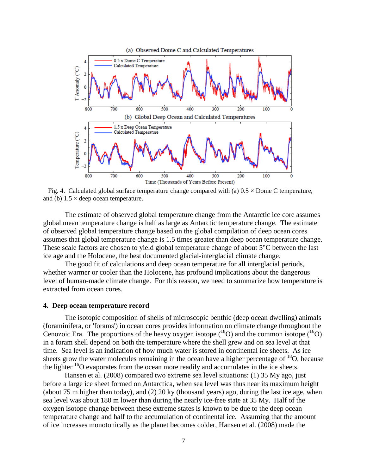

Fig. 4. Calculated global surface temperature change compared with (a)  $0.5 \times$  Dome C temperature, and (b)  $1.5 \times$  deep ocean temperature.

The estimate of observed global temperature change from the Antarctic ice core assumes global mean temperature change is half as large as Antarctic temperature change. The estimate of observed global temperature change based on the global compilation of deep ocean cores assumes that global temperature change is 1.5 times greater than deep ocean temperature change. These scale factors are chosen to yield global temperature change of about 5<sup>o</sup>C between the last ice age and the Holocene, the best documented glacial-interglacial climate change.

The good fit of calculations and deep ocean temperature for all interglacial periods, whether warmer or cooler than the Holocene, has profound implications about the dangerous level of human-made climate change. For this reason, we need to summarize how temperature is extracted from ocean cores.

#### **4. Deep ocean temperature record**

The isotopic composition of shells of microscopic benthic (deep ocean dwelling) animals (foraminifera, or 'forams') in ocean cores provides information on climate change throughout the Cenozoic Era. The proportions of the heavy oxygen isotope  $({}^{18}O)$  and the common isotope  $({}^{16}O)$ in a foram shell depend on both the temperature where the shell grew and on sea level at that time. Sea level is an indication of how much water is stored in continental ice sheets. As ice sheets grow the water molecules remaining in the ocean have a higher percentage of  $^{18}O$ , because the lighter  $16$ O evaporates from the ocean more readily and accumulates in the ice sheets.

Hansen et al. (2008) compared two extreme sea level situations: (1) 35 My ago, just before a large ice sheet formed on Antarctica, when sea level was thus near its maximum height (about 75 m higher than today), and (2) 20 ky (thousand years) ago, during the last ice age, when sea level was about 180 m lower than during the nearly ice-free state at 35 My. Half of the oxygen isotope change between these extreme states is known to be due to the deep ocean temperature change and half to the accumulation of continental ice. Assuming that the amount of ice increases monotonically as the planet becomes colder, Hansen et al. (2008) made the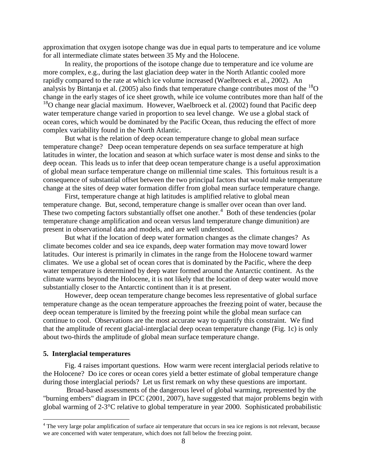approximation that oxygen isotope change was due in equal parts to temperature and ice volume for all intermediate climate states between 35 My and the Holocene.

In reality, the proportions of the isotope change due to temperature and ice volume are more complex, e.g., during the last glaciation deep water in the North Atlantic cooled more rapidly compared to the rate at which ice volume increased (Waelbroeck et al., 2002). An analysis by Bintanja et al. (2005) also finds that temperature change contributes most of the  $^{18}O$ change in the early stages of ice sheet growth, while ice volume contributes more than half of the <sup>18</sup>O change near glacial maximum. However, Waelbroeck et al. (2002) found that Pacific deep water temperature change varied in proportion to sea level change. We use a global stack of ocean cores, which would be dominated by the Pacific Ocean, thus reducing the effect of more complex variability found in the North Atlantic.

But what is the relation of deep ocean temperature change to global mean surface temperature change? Deep ocean temperature depends on sea surface temperature at high latitudes in winter, the location and season at which surface water is most dense and sinks to the deep ocean. This leads us to infer that deep ocean temperature change is a useful approximation of global mean surface temperature change on millennial time scales. This fortuitous result is a consequence of substantial offset between the two principal factors that would make temperature change at the sites of deep water formation differ from global mean surface temperature change.

First, temperature change at high latitudes is amplified relative to global mean temperature change. But, second, temperature change is smaller over ocean than over land. These two competing factors substantially offset one another.<sup>[4](#page-7-0)</sup> Both of these tendencies (polar temperature change amplification and ocean versus land temperature change dimunition) are present in observational data and models, and are well understood.

But what if the location of deep water formation changes as the climate changes? As climate becomes colder and sea ice expands, deep water formation may move toward lower latitudes. Our interest is primarily in climates in the range from the Holocene toward warmer climates. We use a global set of ocean cores that is dominated by the Pacific, where the deep water temperature is determined by deep water formed around the Antarctic continent. As the climate warms beyond the Holocene, it is not likely that the location of deep water would move substantially closer to the Antarctic continent than it is at present.

However, deep ocean temperature change becomes less representative of global surface temperature change as the ocean temperature approaches the freezing point of water, because the deep ocean temperature is limited by the freezing point while the global mean surface can continue to cool. Observations are the most accurate way to quantify this constraint. We find that the amplitude of recent glacial-interglacial deep ocean temperature change (Fig. 1c) is only about two-thirds the amplitude of global mean surface temperature change.

# **5. Interglacial temperatures**

Fig. 4 raises important questions. How warm were recent interglacial periods relative to the Holocene? Do ice cores or ocean cores yield a better estimate of global temperature change during those interglacial periods? Let us first remark on why these questions are important.

Broad-based assessments of the dangerous level of global warming, represented by the "burning embers" diagram in IPCC (2001, 2007), have suggested that major problems begin with global warming of 2-3°C relative to global temperature in year 2000. Sophisticated probabilistic

<span id="page-7-0"></span><sup>&</sup>lt;sup>4</sup> The very large polar amplification of surface air temperature that occurs in sea ice regions is not relevant, because we are concerned with water temperature, which does not fall below the freezing point.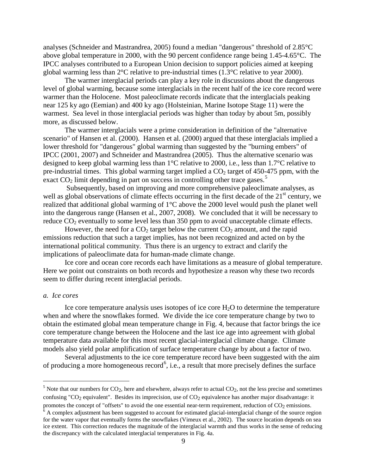analyses (Schneider and Mastrandrea, 2005) found a median "dangerous" threshold of 2.85°C above global temperature in 2000, with the 90 percent confidence range being 1.45-4.65°C. The IPCC analyses contributed to a European Union decision to support policies aimed at keeping global warming less than 2°C relative to pre-industrial times (1.3°C relative to year 2000).

The warmer interglacial periods can play a key role in discussions about the dangerous level of global warming, because some interglacials in the recent half of the ice core record were warmer than the Holocene. Most paleoclimate records indicate that the interglacials peaking near 125 ky ago (Eemian) and 400 ky ago (Holsteinian, Marine Isotope Stage 11) were the warmest. Sea level in those interglacial periods was higher than today by about 5m, possibly more, as discussed below.

The warmer interglacials were a prime consideration in definition of the "alternative scenario" of Hansen et al. (2000). Hansen et al. (2000) argued that these interglacials implied a lower threshold for "dangerous" global warming than suggested by the "burning embers" of IPCC (2001, 2007) and Schneider and Mastrandrea (2005). Thus the alternative scenario was designed to keep global warming less than 1°C relative to 2000, i.e., less than 1.7°C relative to pre-industrial times. This global warming target implied a  $CO<sub>2</sub>$  target of 450-475 ppm, with the exact  $CO<sub>2</sub>$  limit depending in part on success in controlling other trace gases.<sup>[5](#page-8-0)</sup>

Subsequently, based on improving and more comprehensive paleoclimate analyses, as well as global observations of climate effects occurring in the first decade of the  $21<sup>st</sup>$  century, we realized that additional global warming of 1°C above the 2000 level would push the planet well into the dangerous range (Hansen et al., 2007, 2008). We concluded that it will be necessary to reduce  $CO<sub>2</sub>$  eventually to some level less than 350 ppm to avoid unacceptable climate effects.

However, the need for a  $CO<sub>2</sub>$  target below the current  $CO<sub>2</sub>$  amount, and the rapid emissions reduction that such a target implies, has not been recognized and acted on by the international political community. Thus there is an urgency to extract and clarify the implications of paleoclimate data for human-made climate change.

Ice core and ocean core records each have limitations as a measure of global temperature. Here we point out constraints on both records and hypothesize a reason why these two records seem to differ during recent interglacial periods.

# *a. Ice cores*

Ice core temperature analysis uses isotopes of ice core  $H<sub>2</sub>O$  to determine the temperature when and where the snowflakes formed. We divide the ice core temperature change by two to obtain the estimated global mean temperature change in Fig. 4, because that factor brings the ice core temperature change between the Holocene and the last ice age into agreement with global temperature data available for this most recent glacial-interglacial climate change. Climate models also yield polar amplification of surface temperature change by about a factor of two.

Several adjustments to the ice core temperature record have been suggested with the aim of producing a more homogeneous record<sup>[6](#page-8-1)</sup>, i.e., a result that more precisely defines the surface

<span id="page-8-0"></span> $5$  Note that our numbers for CO<sub>2</sub>, here and elsewhere, always refer to actual CO<sub>2</sub>, not the less precise and sometimes confusing "CO<sub>2</sub> equivalent". Besides its imprecision, use of CO<sub>2</sub> equivalence has another major disadvantage: it

promotes the concept of "offsets" to avoid the one essential near-term requirement, reduction of CO<sub>2</sub> emissions.

<span id="page-8-1"></span> $6$  A complex adjustment has been suggested to account for estimated glacial-interglacial change of the source region for the water vapor that eventually forms the snowflakes (Vimeux et al., 2002). The source location depends on sea ice extent. This correction reduces the magnitude of the interglacial warmth and thus works in the sense of reducing the discrepancy with the calculated interglacial temperatures in Fig. 4a.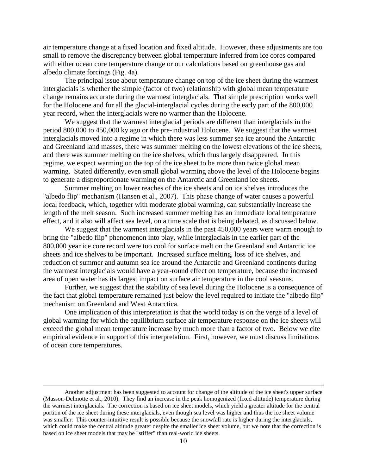air temperature change at a fixed location and fixed altitude. However, these adjustments are too small to remove the discrepancy between global temperature inferred from ice cores compared with either ocean core temperature change or our calculations based on greenhouse gas and albedo climate forcings (Fig. 4a).

The principal issue about temperature change on top of the ice sheet during the warmest interglacials is whether the simple (factor of two) relationship with global mean temperature change remains accurate during the warmest interglacials. That simple prescription works well for the Holocene and for all the glacial-interglacial cycles during the early part of the 800,000 year record, when the interglacials were no warmer than the Holocene.

We suggest that the warmest interglacial periods are different than interglacials in the period 800,000 to 450,000 ky ago or the pre-industrial Holocene. We suggest that the warmest interglacials moved into a regime in which there was less summer sea ice around the Antarctic and Greenland land masses, there was summer melting on the lowest elevations of the ice sheets, and there was summer melting on the ice shelves, which thus largely disappeared. In this regime, we expect warming on the top of the ice sheet to be more than twice global mean warming. Stated differently, even small global warming above the level of the Holocene begins to generate a disproportionate warming on the Antarctic and Greenland ice sheets.

Summer melting on lower reaches of the ice sheets and on ice shelves introduces the "albedo flip" mechanism (Hansen et al., 2007). This phase change of water causes a powerful local feedback, which, together with moderate global warming, can substantially increase the length of the melt season. Such increased summer melting has an immediate local temperature effect, and it also will affect sea level, on a time scale that is being debated, as discussed below.

We suggest that the warmest interglacials in the past 450,000 years were warm enough to bring the "albedo flip" phenomenon into play, while interglacials in the earlier part of the 800,000 year ice core record were too cool for surface melt on the Greenland and Antarctic ice sheets and ice shelves to be important. Increased surface melting, loss of ice shelves, and reduction of summer and autumn sea ice around the Antarctic and Greenland continents during the warmest interglacials would have a year-round effect on temperature, because the increased area of open water has its largest impact on surface air temperature in the cool seasons.

Further, we suggest that the stability of sea level during the Holocene is a consequence of the fact that global temperature remained just below the level required to initiate the "albedo flip" mechanism on Greenland and West Antarctica.

One implication of this interpretation is that the world today is on the verge of a level of global warming for which the equilibrium surface air temperature response on the ice sheets will exceed the global mean temperature increase by much more than a factor of two. Below we cite empirical evidence in support of this interpretation. First, however, we must discuss limitations of ocean core temperatures.

 $\overline{a}$ 

Another adjustment has been suggested to account for change of the altitude of the ice sheet's upper surface (Masson-Delmotte et al., 2010). They find an increase in the peak homogenized (fixed altitude) temperature during the warmest interglacials. The correction is based on ice sheet models, which yield a greater altitude for the central portion of the ice sheet during these interglacials, even though sea level was higher and thus the ice sheet volume was smaller. This counter-intuitive result is possible because the snowfall rate is higher during the interglacials, which could make the central altitude greater despite the smaller ice sheet volume, but we note that the correction is based on ice sheet models that may be "stiffer" than real-world ice sheets.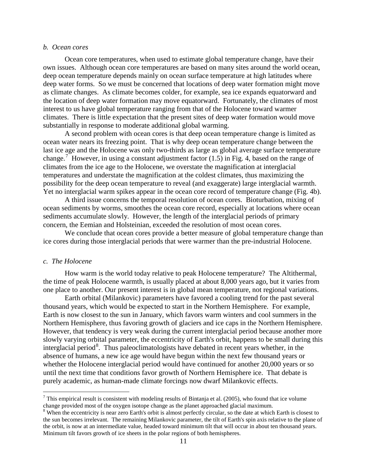#### *b. Ocean cores*

Ocean core temperatures, when used to estimate global temperature change, have their own issues. Although ocean core temperatures are based on many sites around the world ocean, deep ocean temperature depends mainly on ocean surface temperature at high latitudes where deep water forms. So we must be concerned that locations of deep water formation might move as climate changes. As climate becomes colder, for example, sea ice expands equatorward and the location of deep water formation may move equatorward. Fortunately, the climates of most interest to us have global temperature ranging from that of the Holocene toward warmer climates. There is little expectation that the present sites of deep water formation would move substantially in response to moderate additional global warming.

A second problem with ocean cores is that deep ocean temperature change is limited as ocean water nears its freezing point. That is why deep ocean temperature change between the last ice age and the Holocene was only two-thirds as large as global average surface temperature change.<sup>[7](#page-10-0)</sup> However, in using a constant adjustment factor  $(1.5)$  in Fig. 4, based on the range of climates from the ice age to the Holocene, we overstate the magnification at interglacial temperatures and understate the magnification at the coldest climates, thus maximizing the possibility for the deep ocean temperature to reveal (and exaggerate) large interglacial warmth. Yet no interglacial warm spikes appear in the ocean core record of temperature change (Fig. 4b).

A third issue concerns the temporal resolution of ocean cores. Bioturbation, mixing of ocean sediments by worms, smoothes the ocean core record, especially at locations where ocean sediments accumulate slowly. However, the length of the interglacial periods of primary concern, the Eemian and Holsteinian, exceeded the resolution of most ocean cores.

We conclude that ocean cores provide a better measure of global temperature change than ice cores during those interglacial periods that were warmer than the pre-industrial Holocene.

#### *c. The Holocene*

How warm is the world today relative to peak Holocene temperature? The Altithermal, the time of peak Holocene warmth, is usually placed at about 8,000 years ago, but it varies from one place to another. Our present interest is in global mean temperature, not regional variations.

Earth orbital (Milankovic) parameters have favored a cooling trend for the past several thousand years, which would be expected to start in the Northern Hemisphere. For example, Earth is now closest to the sun in January, which favors warm winters and cool summers in the Northern Hemisphere, thus favoring growth of glaciers and ice caps in the Northern Hemisphere. However, that tendency is very weak during the current interglacial period because another more slowly varying orbital parameter, the eccentricity of Earth's orbit, happens to be small during this interglacial period<sup>[8](#page-10-1)</sup>. Thus paleoclimatologists have debated in recent years whether, in the absence of humans, a new ice age would have begun within the next few thousand years or whether the Holocene interglacial period would have continued for another 20,000 years or so until the next time that conditions favor growth of Northern Hemisphere ice. That debate is purely academic, as human-made climate forcings now dwarf Milankovic effects.

<span id="page-10-0"></span> $7$  This empirical result is consistent with modeling results of Bintanja et al. (2005), who found that ice volume change provided most of the oxygen isotope change as the planet approached glacial maximum.

<span id="page-10-1"></span><sup>&</sup>lt;sup>8</sup> When the eccentricity is near zero Earth's orbit is almost perfectly circular, so the date at which Earth is closest to the sun becomes irrelevant. The remaining Milankovic parameter, the tilt of Earth's spin axis relative to the plane of the orbit, is now at an intermediate value, headed toward minimum tilt that will occur in about ten thousand years. Minimum tilt favors growth of ice sheets in the polar regions of both hemispheres.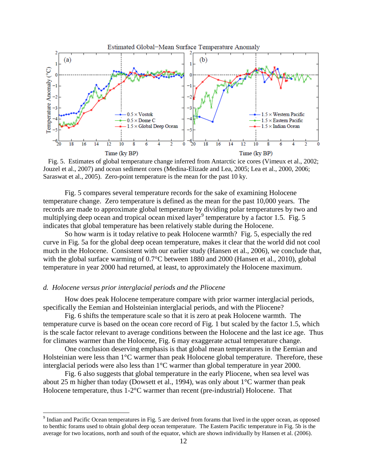

 Fig. 5. Estimates of global temperature change inferred from Antarctic ice cores (Vimeux et al., 2002; Jouzel et al., 2007) and ocean sediment cores (Medina-Elizade and Lea, 2005; Lea et al., 2000, 2006; Saraswat et al., 2005). Zero-point temperature is the mean for the past 10 ky.

Fig. 5 compares several temperature records for the sake of examining Holocene temperature change. Zero temperature is defined as the mean for the past 10,000 years. The records are made to approximate global temperature by dividing polar temperatures by two and multiplying deep ocean and tropical ocean mixed layer<sup>[9](#page-11-0)</sup> temperature by a factor 1.5. Fig. 5 indicates that global temperature has been relatively stable during the Holocene.

So how warm is it today relative to peak Holocene warmth? Fig. 5, especially the red curve in Fig. 5a for the global deep ocean temperature, makes it clear that the world did not cool much in the Holocene. Consistent with our earlier study (Hansen et al., 2006), we conclude that, with the global surface warming of 0.7°C between 1880 and 2000 (Hansen et al., 2010), global temperature in year 2000 had returned, at least, to approximately the Holocene maximum.

# *d. Holocene versus prior interglacial periods and the Pliocene*

How does peak Holocene temperature compare with prior warmer interglacial periods, specifically the Eemian and Holsteinian interglacial periods, and with the Pliocene?

Fig. 6 shifts the temperature scale so that it is zero at peak Holocene warmth. The temperature curve is based on the ocean core record of Fig. 1 but scaled by the factor 1.5, which is the scale factor relevant to average conditions between the Holocene and the last ice age. Thus for climates warmer than the Holocene, Fig. 6 may exaggerate actual temperature change.

One conclusion deserving emphasis is that global mean temperatures in the Eemian and Holsteinian were less than 1°C warmer than peak Holocene global temperature. Therefore, these interglacial periods were also less than 1°C warmer than global temperature in year 2000.

Fig. 6 also suggests that global temperature in the early Pliocene, when sea level was about 25 m higher than today (Dowsett et al., 1994), was only about 1°C warmer than peak Holocene temperature, thus 1-2°C warmer than recent (pre-industrial) Holocene. That

<span id="page-11-0"></span><sup>&</sup>lt;sup>9</sup> Indian and Pacific Ocean temperatures in Fig. 5 are derived from forams that lived in the upper ocean, as opposed to benthic forams used to obtain global deep ocean temperature. The Eastern Pacific temperature in Fig. 5b is the average for two locations, north and south of the equator, which are shown individually by Hansen et al. (2006).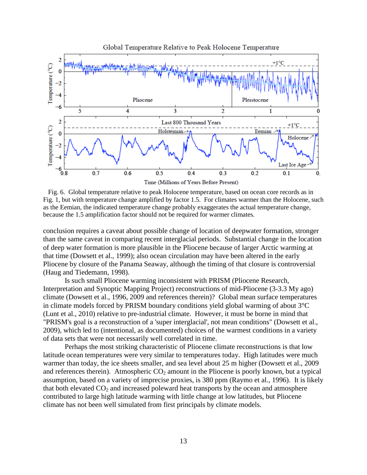

 Fig. 6. Global temperature relative to peak Holocene temperature, based on ocean core records as in Fig. 1, but with temperature change amplified by factor 1.5. For climates warmer than the Holocene, such as the Eemian, the indicated temperature change probably exaggerates the actual temperature change, because the 1.5 amplification factor should not be required for warmer climates.

conclusion requires a caveat about possible change of location of deepwater formation, stronger than the same caveat in comparing recent interglacial periods. Substantial change in the location of deep water formation is more plausible in the Pliocene because of larger Arctic warming at that time (Dowsett et al., 1999); also ocean circulation may have been altered in the early Pliocene by closure of the Panama Seaway, although the timing of that closure is controversial (Haug and Tiedemann, 1998).

Is such small Pliocene warming inconsistent with PRISM (Pliocene Research, Interpretation and Synoptic Mapping Project) reconstructions of mid-Pliocene (3-3.3 My ago) climate (Dowsett et al., 1996, 2009 and references therein)? Global mean surface temperatures in climate models forced by PRISM boundary conditions yield global warming of about 3°C (Lunt et al., 2010) relative to pre-industrial climate. However, it must be borne in mind that "PRISM's goal is a reconstruction of a 'super interglacial', not mean conditions" (Dowsett et al., 2009), which led to (intentional, as documented) choices of the warmest conditions in a variety of data sets that were not necessarily well correlated in time.

Perhaps the most striking characteristic of Pliocene climate reconstructions is that low latitude ocean temperatures were very similar to temperatures today. High latitudes were much warmer than today, the ice sheets smaller, and sea level about 25 m higher (Dowsett et al., 2009 and references therein). Atmospheric  $CO<sub>2</sub>$  amount in the Pliocene is poorly known, but a typical assumption, based on a variety of imprecise proxies, is 380 ppm (Raymo et al., 1996). It is likely that both elevated  $CO<sub>2</sub>$  and increased poleward heat transports by the ocean and atmosphere contributed to large high latitude warming with little change at low latitudes, but Pliocene climate has not been well simulated from first principals by climate models.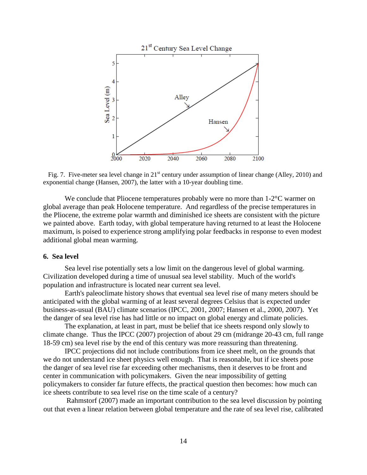

Fig. 7. Five-meter sea level change in 21<sup>st</sup> century under assumption of linear change (Alley, 2010) and exponential change (Hansen, 2007), the latter with a 10-year doubling time.

We conclude that Pliocene temperatures probably were no more than 1-2<sup>o</sup>C warmer on global average than peak Holocene temperature. And regardless of the precise temperatures in the Pliocene, the extreme polar warmth and diminished ice sheets are consistent with the picture we painted above. Earth today, with global temperature having returned to at least the Holocene maximum, is poised to experience strong amplifying polar feedbacks in response to even modest additional global mean warming.

# **6. Sea level**

Sea level rise potentially sets a low limit on the dangerous level of global warming. Civilization developed during a time of unusual sea level stability. Much of the world's population and infrastructure is located near current sea level.

Earth's paleoclimate history shows that eventual sea level rise of many meters should be anticipated with the global warming of at least several degrees Celsius that is expected under business-as-usual (BAU) climate scenarios (IPCC, 2001, 2007; Hansen et al., 2000, 2007). Yet the danger of sea level rise has had little or no impact on global energy and climate policies.

The explanation, at least in part, must be belief that ice sheets respond only slowly to climate change. Thus the IPCC (2007) projection of about 29 cm (midrange 20-43 cm, full range 18-59 cm) sea level rise by the end of this century was more reassuring than threatening.

IPCC projections did not include contributions from ice sheet melt, on the grounds that we do not understand ice sheet physics well enough. That is reasonable, but if ice sheets pose the danger of sea level rise far exceeding other mechanisms, then it deserves to be front and center in communication with policymakers. Given the near impossibility of getting policymakers to consider far future effects, the practical question then becomes: how much can ice sheets contribute to sea level rise on the time scale of a century?

Rahmstorf (2007) made an important contribution to the sea level discussion by pointing out that even a linear relation between global temperature and the rate of sea level rise, calibrated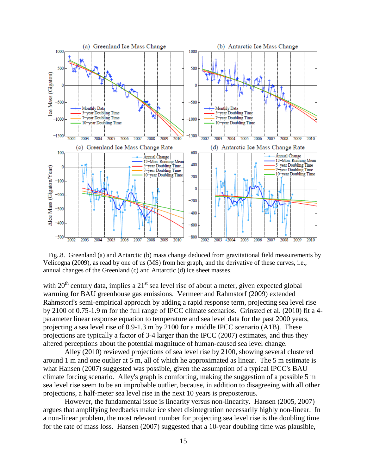

 Fig..8. Greenland (a) and Antarctic (b) mass change deduced from gravitational field measurements by Velicogna (2009), as read by one of us (MS) from her graph, and the derivative of these curves, i.e., annual changes of the Greenland (c) and Antarctic (d) ice sheet masses.

with  $20^{th}$  century data, implies a  $21^{st}$  sea level rise of about a meter, given expected global warming for BAU greenhouse gas emissions. Vermeer and Rahmstorf (2009) extended Rahmstorf's semi-empirical approach by adding a rapid response term, projecting sea level rise by 2100 of 0.75-1.9 m for the full range of IPCC climate scenarios. Grinsted et al. (2010) fit a 4 parameter linear response equation to temperature and sea level data for the past 2000 years, projecting a sea level rise of 0.9-1.3 m by 2100 for a middle IPCC scenario (A1B). These projections are typically a factor of 3-4 larger than the IPCC (2007) estimates, and thus they altered perceptions about the potential magnitude of human-caused sea level change.

Alley (2010) reviewed projections of sea level rise by 2100, showing several clustered around 1 m and one outlier at 5 m, all of which he approximated as linear. The 5 m estimate is what Hansen (2007) suggested was possible, given the assumption of a typical IPCC's BAU climate forcing scenario. Alley's graph is comforting, making the suggestion of a possible 5 m sea level rise seem to be an improbable outlier, because, in addition to disagreeing with all other projections, a half-meter sea level rise in the next 10 years is preposterous.

However, the fundamental issue is linearity versus non-linearity. Hansen (2005, 2007) argues that amplifying feedbacks make ice sheet disintegration necessarily highly non-linear. In a non-linear problem, the most relevant number for projecting sea level rise is the doubling time for the rate of mass loss. Hansen (2007) suggested that a 10-year doubling time was plausible,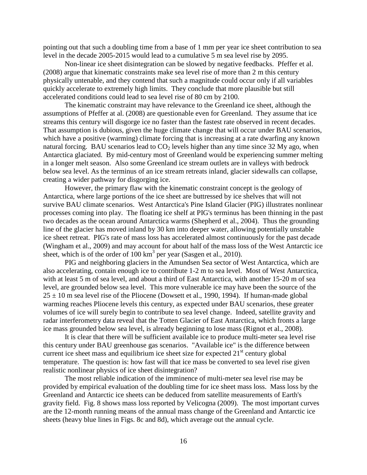pointing out that such a doubling time from a base of 1 mm per year ice sheet contribution to sea level in the decade 2005-2015 would lead to a cumulative 5 m sea level rise by 2095.

Non-linear ice sheet disintegration can be slowed by negative feedbacks. Pfeffer et al. (2008) argue that kinematic constraints make sea level rise of more than 2 m this century physically untenable, and they contend that such a magnitude could occur only if all variables quickly accelerate to extremely high limits. They conclude that more plausible but still accelerated conditions could lead to sea level rise of 80 cm by 2100.

The kinematic constraint may have relevance to the Greenland ice sheet, although the assumptions of Pfeffer at al. (2008) are questionable even for Greenland. They assume that ice streams this century will disgorge ice no faster than the fastest rate observed in recent decades. That assumption is dubious, given the huge climate change that will occur under BAU scenarios, which have a positive (warming) climate forcing that is increasing at a rate dwarfing any known natural forcing. BAU scenarios lead to  $CO<sub>2</sub>$  levels higher than any time since 32 My ago, when Antarctica glaciated. By mid-century most of Greenland would be experiencing summer melting in a longer melt season. Also some Greenland ice stream outlets are in valleys with bedrock below sea level. As the terminus of an ice stream retreats inland, glacier sidewalls can collapse, creating a wider pathway for disgorging ice.

However, the primary flaw with the kinematic constraint concept is the geology of Antarctica, where large portions of the ice sheet are buttressed by ice shelves that will not survive BAU climate scenarios. West Antarctica's Pine Island Glacier (PIG) illustrates nonlinear processes coming into play. The floating ice shelf at PIG's terminus has been thinning in the past two decades as the ocean around Antarctica warms (Shepherd et al., 2004). Thus the grounding line of the glacier has moved inland by 30 km into deeper water, allowing potentially unstable ice sheet retreat. PIG's rate of mass loss has accelerated almost continuously for the past decade (Wingham et al., 2009) and may account for about half of the mass loss of the West Antarctic ice sheet, which is of the order of  $100 \text{ km}^3$  per year (Sasgen et al., 2010).

PIG and neighboring glaciers in the Amundsen Sea sector of West Antarctica, which are also accelerating, contain enough ice to contribute 1-2 m to sea level. Most of West Antarctica, with at least 5 m of sea level, and about a third of East Antarctica, with another 15-20 m of sea level, are grounded below sea level. This more vulnerable ice may have been the source of the  $25 \pm 10$  m sea level rise of the Pliocene (Dowsett et al., 1990, 1994). If human-made global warming reaches Pliocene levels this century, as expected under BAU scenarios, these greater volumes of ice will surely begin to contribute to sea level change. Indeed, satellite gravity and radar interferometry data reveal that the Totten Glacier of East Antarctica, which fronts a large ice mass grounded below sea level, is already beginning to lose mass (Rignot et al., 2008).

It is clear that there will be sufficient available ice to produce multi-meter sea level rise this century under BAU greenhouse gas scenarios. "Available ice" is the difference between current ice sheet mass and equilibrium ice sheet size for expected  $21<sup>st</sup>$  century global temperature. The question is: how fast will that ice mass be converted to sea level rise given realistic nonlinear physics of ice sheet disintegration?

The most reliable indication of the imminence of multi-meter sea level rise may be provided by empirical evaluation of the doubling time for ice sheet mass loss. Mass loss by the Greenland and Antarctic ice sheets can be deduced from satellite measurements of Earth's gravity field. Fig. 8 shows mass loss reported by Velicogna (2009). The most important curves are the 12-month running means of the annual mass change of the Greenland and Antarctic ice sheets (heavy blue lines in Figs. 8c and 8d), which average out the annual cycle.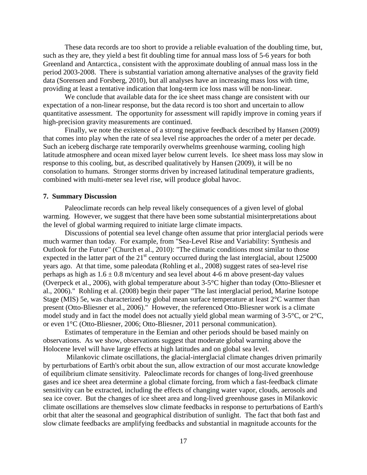These data records are too short to provide a reliable evaluation of the doubling time, but, such as they are, they yield a best fit doubling time for annual mass loss of 5-6 years for both Greenland and Antarctica., consistent with the approximate doubling of annual mass loss in the period 2003-2008. There is substantial variation among alternative analyses of the gravity field data (Sorensen and Forsberg, 2010), but all analyses have an increasing mass loss with time, providing at least a tentative indication that long-term ice loss mass will be non-linear.

We conclude that available data for the ice sheet mass change are consistent with our expectation of a non-linear response, but the data record is too short and uncertain to allow quantitative assessment. The opportunity for assessment will rapidly improve in coming years if high-precision gravity measurements are continued.

Finally, we note the existence of a strong negative feedback described by Hansen (2009) that comes into play when the rate of sea level rise approaches the order of a meter per decade. Such an iceberg discharge rate temporarily overwhelms greenhouse warming, cooling high latitude atmosphere and ocean mixed layer below current levels. Ice sheet mass loss may slow in response to this cooling, but, as described qualitatively by Hansen (2009), it will be no consolation to humans. Stronger storms driven by increased latitudinal temperature gradients, combined with multi-meter sea level rise, will produce global havoc.

### **7. Summary Discussion**

Paleoclimate records can help reveal likely consequences of a given level of global warming. However, we suggest that there have been some substantial misinterpretations about the level of global warming required to initiate large climate impacts.

Discussions of potential sea level change often assume that prior interglacial periods were much warmer than today. For example, from "Sea-Level Rise and Variability: Synthesis and Outlook for the Future" (Church et al., 2010): "The climatic conditions most similar to those expected in the latter part of the  $21<sup>st</sup>$  century occurred during the last interglacial, about 125000 years ago. At that time, some paleodata (Rohling et al., 2008) suggest rates of sea-level rise perhaps as high as  $1.6 \pm 0.8$  m/century and sea level about 4-6 m above present-day values (Overpeck et al., 2006), with global temperature about 3-5°C higher than today (Otto-Bliesner et al., 2006)." Rohling et al. (2008) begin their paper "The last interglacial period, Marine Isotope Stage (MIS) 5e, was characterized by global mean surface temperature at least 2°C warmer than present (Otto-Bliesner et al., 2006)." However, the referenced Otto-Bliesner work is a climate model study and in fact the model does not actually yield global mean warming of 3-5°C, or 2°C, or even 1°C (Otto-Bliesner, 2006; Otto-Bliesner, 2011 personal communication).

Estimates of temperature in the Eemian and other periods should be based mainly on observations. As we show, observations suggest that moderate global warming above the Holocene level will have large effects at high latitudes and on global sea level.

Milankovic climate oscillations, the glacial-interglacial climate changes driven primarily by perturbations of Earth's orbit about the sun, allow extraction of our most accurate knowledge of equilibrium climate sensitivity. Paleoclimate records for changes of long-lived greenhouse gases and ice sheet area determine a global climate forcing, from which a fast-feedback climate sensitivity can be extracted, including the effects of changing water vapor, clouds, aerosols and sea ice cover. But the changes of ice sheet area and long-lived greenhouse gases in Milankovic climate oscillations are themselves slow climate feedbacks in response to perturbations of Earth's orbit that alter the seasonal and geographical distribution of sunlight. The fact that both fast and slow climate feedbacks are amplifying feedbacks and substantial in magnitude accounts for the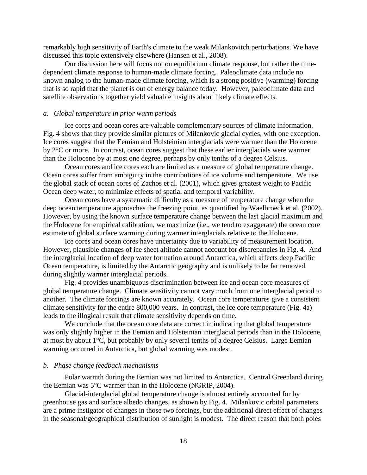remarkably high sensitivity of Earth's climate to the weak Milankovitch perturbations. We have discussed this topic extensively elsewhere (Hansen et al., 2008).

Our discussion here will focus not on equilibrium climate response, but rather the timedependent climate response to human-made climate forcing. Paleoclimate data include no known analog to the human-made climate forcing, which is a strong positive (warming) forcing that is so rapid that the planet is out of energy balance today. However, paleoclimate data and satellite observations together yield valuable insights about likely climate effects.

#### *a. Global temperature in prior warm periods*

Ice cores and ocean cores are valuable complementary sources of climate information. Fig. 4 shows that they provide similar pictures of Milankovic glacial cycles, with one exception. Ice cores suggest that the Eemian and Holsteinian interglacials were warmer than the Holocene by 2°C or more. In contrast, ocean cores suggest that these earlier interglacials were warmer than the Holocene by at most one degree, perhaps by only tenths of a degree Celsius.

Ocean cores and ice cores each are limited as a measure of global temperature change. Ocean cores suffer from ambiguity in the contributions of ice volume and temperature. We use the global stack of ocean cores of Zachos et al. (2001), which gives greatest weight to Pacific Ocean deep water, to minimize effects of spatial and temporal variability.

Ocean cores have a systematic difficulty as a measure of temperature change when the deep ocean temperature approaches the freezing point, as quantified by Waelbroeck et al. (2002). However, by using the known surface temperature change between the last glacial maximum and the Holocene for empirical calibration, we maximize (i.e., we tend to exaggerate) the ocean core estimate of global surface warming during warmer interglacials relative to the Holocene.

Ice cores and ocean cores have uncertainty due to variability of measurement location. However, plausible changes of ice sheet altitude cannot account for discrepancies in Fig. 4. And the interglacial location of deep water formation around Antarctica, which affects deep Pacific Ocean temperature, is limited by the Antarctic geography and is unlikely to be far removed during slightly warmer interglacial periods.

Fig. 4 provides unambiguous discrimination between ice and ocean core measures of global temperature change. Climate sensitivity cannot vary much from one interglacial period to another. The climate forcings are known accurately. Ocean core temperatures give a consistent climate sensitivity for the entire 800,000 years. In contrast, the ice core temperature (Fig. 4a) leads to the illogical result that climate sensitivity depends on time.

We conclude that the ocean core data are correct in indicating that global temperature was only slightly higher in the Eemian and Holsteinian interglacial periods than in the Holocene, at most by about 1°C, but probably by only several tenths of a degree Celsius. Large Eemian warming occurred in Antarctica, but global warming was modest.

### *b. Phase change feedback mechanisms*

Polar warmth during the Eemian was not limited to Antarctica. Central Greenland during the Eemian was 5°C warmer than in the Holocene (NGRIP, 2004).

Glacial-interglacial global temperature change is almost entirely accounted for by greenhouse gas and surface albedo changes, as shown by Fig. 4. Milankovic orbital parameters are a prime instigator of changes in those two forcings, but the additional direct effect of changes in the seasonal/geographical distribution of sunlight is modest. The direct reason that both poles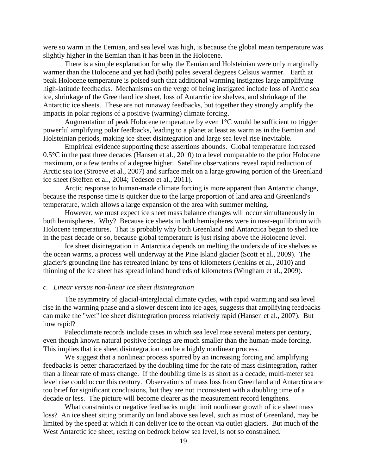were so warm in the Eemian, and sea level was high, is because the global mean temperature was slightly higher in the Eemian than it has been in the Holocene.

There is a simple explanation for why the Eemian and Holsteinian were only marginally warmer than the Holocene and yet had (both) poles several degrees Celsius warmer. Earth at peak Holocene temperature is poised such that additional warming instigates large amplifying high-latitude feedbacks. Mechanisms on the verge of being instigated include loss of Arctic sea ice, shrinkage of the Greenland ice sheet, loss of Antarctic ice shelves, and shrinkage of the Antarctic ice sheets. These are not runaway feedbacks, but together they strongly amplify the impacts in polar regions of a positive (warming) climate forcing.

Augmentation of peak Holocene temperature by even  $1^{\circ}$ C would be sufficient to trigger powerful amplifying polar feedbacks, leading to a planet at least as warm as in the Eemian and Holsteinian periods, making ice sheet disintegration and large sea level rise inevitable.

Empirical evidence supporting these assertions abounds. Global temperature increased 0.5°C in the past three decades (Hansen et al., 2010) to a level comparable to the prior Holocene maximum, or a few tenths of a degree higher. Satellite observations reveal rapid reduction of Arctic sea ice (Stroeve et al., 2007) and surface melt on a large growing portion of the Greenland ice sheet (Steffen et al., 2004; Tedesco et al., 2011).

Arctic response to human-made climate forcing is more apparent than Antarctic change, because the response time is quicker due to the large proportion of land area and Greenland's temperature, which allows a large expansion of the area with summer melting.

However, we must expect ice sheet mass balance changes will occur simultaneously in both hemispheres. Why? Because ice sheets in both hemispheres were in near-equilibrium with Holocene temperatures. That is probably why both Greenland and Antarctica began to shed ice in the past decade or so, because global temperature is just rising above the Holocene level.

Ice sheet disintegration in Antarctica depends on melting the underside of ice shelves as the ocean warms, a process well underway at the Pine Island glacier (Scott et al., 2009). The glacier's grounding line has retreated inland by tens of kilometers (Jenkins et al., 2010) and thinning of the ice sheet has spread inland hundreds of kilometers (Wingham et al., 2009).

# *c. Linear versus non-linear ice sheet disintegration*

The asymmetry of glacial-interglacial climate cycles, with rapid warming and sea level rise in the warming phase and a slower descent into ice ages, suggests that amplifying feedbacks can make the "wet" ice sheet disintegration process relatively rapid (Hansen et al., 2007). But how rapid?

Paleoclimate records include cases in which sea level rose several meters per century, even though known natural positive forcings are much smaller than the human-made forcing. This implies that ice sheet disintegration can be a highly nonlinear process.

We suggest that a nonlinear process spurred by an increasing forcing and amplifying feedbacks is better characterized by the doubling time for the rate of mass disintegration, rather than a linear rate of mass change. If the doubling time is as short as a decade, multi-meter sea level rise could occur this century. Observations of mass loss from Greenland and Antarctica are too brief for significant conclusions, but they are not inconsistent with a doubling time of a decade or less. The picture will become clearer as the measurement record lengthens.

What constraints or negative feedbacks might limit nonlinear growth of ice sheet mass loss? An ice sheet sitting primarily on land above sea level, such as most of Greenland, may be limited by the speed at which it can deliver ice to the ocean via outlet glaciers. But much of the West Antarctic ice sheet, resting on bedrock below sea level, is not so constrained.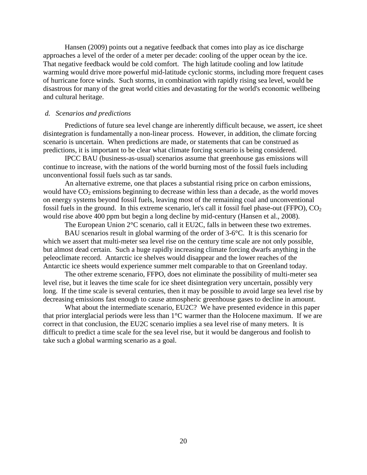Hansen (2009) points out a negative feedback that comes into play as ice discharge approaches a level of the order of a meter per decade: cooling of the upper ocean by the ice. That negative feedback would be cold comfort. The high latitude cooling and low latitude warming would drive more powerful mid-latitude cyclonic storms, including more frequent cases of hurricane force winds. Such storms, in combination with rapidly rising sea level, would be disastrous for many of the great world cities and devastating for the world's economic wellbeing and cultural heritage.

# *d. Scenarios and predictions*

Predictions of future sea level change are inherently difficult because, we assert, ice sheet disintegration is fundamentally a non-linear process. However, in addition, the climate forcing scenario is uncertain. When predictions are made, or statements that can be construed as predictions, it is important to be clear what climate forcing scenario is being considered.

IPCC BAU (business-as-usual) scenarios assume that greenhouse gas emissions will continue to increase, with the nations of the world burning most of the fossil fuels including unconventional fossil fuels such as tar sands.

An alternative extreme, one that places a substantial rising price on carbon emissions, would have  $CO<sub>2</sub>$  emissions beginning to decrease within less than a decade, as the world moves on energy systems beyond fossil fuels, leaving most of the remaining coal and unconventional fossil fuels in the ground. In this extreme scenario, let's call it fossil fuel phase-out (FFPO),  $CO<sub>2</sub>$ would rise above 400 ppm but begin a long decline by mid-century (Hansen et al., 2008).

The European Union  $2^{\circ}$ C scenario, call it EU2C, falls in between these two extremes.

BAU scenarios result in global warming of the order of 3-6°C. It is this scenario for which we assert that multi-meter sea level rise on the century time scale are not only possible, but almost dead certain. Such a huge rapidly increasing climate forcing dwarfs anything in the peleoclimate record. Antarctic ice shelves would disappear and the lower reaches of the Antarctic ice sheets would experience summer melt comparable to that on Greenland today.

The other extreme scenario, FFPO, does not eliminate the possibility of multi-meter sea level rise, but it leaves the time scale for ice sheet disintegration very uncertain, possibly very long. If the time scale is several centuries, then it may be possible to avoid large sea level rise by decreasing emissions fast enough to cause atmospheric greenhouse gases to decline in amount.

What about the intermediate scenario, EU2C? We have presented evidence in this paper that prior interglacial periods were less than 1°C warmer than the Holocene maximum. If we are correct in that conclusion, the EU2C scenario implies a sea level rise of many meters. It is difficult to predict a time scale for the sea level rise, but it would be dangerous and foolish to take such a global warming scenario as a goal.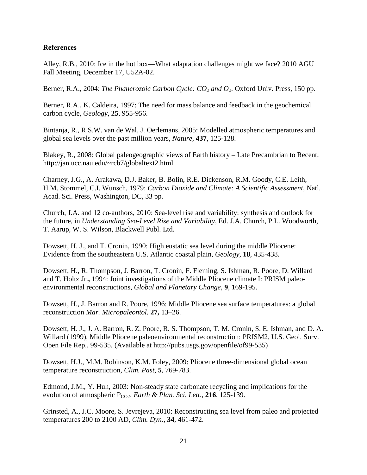# **References**

Alley, R.B., 2010: Ice in the hot box—What adaptation challenges might we face? 2010 AGU Fall Meeting, December 17, U52A-02.

Berner, R.A., 2004: *The Phanerozoic Carbon Cycle: CO<sub>2</sub> and O<sub>2</sub>. Oxford Univ. Press, 150 pp.* 

Berner, R.A., K. Caldeira, 1997: The need for mass balance and feedback in the geochemical carbon cycle, *Geology,* **25**, 955-956.

Bintanja, R., R.S.W. van de Wal, J. Oerlemans, 2005: Modelled atmospheric temperatures and global sea levels over the past million years, *Nature*, **437**, 125-128.

Blakey, R., 2008: Global paleogeographic views of Earth history – Late Precambrian to Recent, http://jan.ucc.nau.edu/~rcb7/globaltext2.html

Charney, J.G., A. Arakawa, D.J. Baker, B. Bolin, R.E. Dickenson, R.M. Goody, C.E. Leith, H.M. Stommel, C.I. Wunsch, 1979: *Carbon Dioxide and Climate: A Scientific Assessment*, Natl. Acad. Sci. Press, Washington, DC, 33 pp.

Church, J.A. and 12 co-authors, 2010: Sea-level rise and variability: synthesis and outlook for the future, in *Understanding Sea-Level Rise and Variability*, Ed. J.A. Church, P.L. Woodworth, T. Aarup, W. S. Wilson, Blackwell Publ. Ltd.

Dowsett, H. J., and T. Cronin, 1990: High eustatic sea level during the middle Pliocene: Evidence from the southeastern U.S. Atlantic coastal plain, *Geology*, **18**, 435-438.

Dowsett, H., R. Thompson, J. Barron, T. Cronin, F. Fleming, S. Ishman, R. Poore, D. Willard and T. Holtz Jr.**,** 1994: Joint investigations of the Middle Pliocene climate I: PRISM paleoenvironmental reconstructions, *Global and Planetary Change*, **9**, 169-195.

Dowsett, H., J. Barron and R. Poore, 1996: Middle Pliocene sea surface temperatures: a global reconstruction *Mar. Micropaleontol.* **27,** 13–26.

Dowsett, H. J., J. A. Barron, R. Z. Poore, R. S. Thompson, T. M. Cronin, S. E. Ishman, and D. A. Willard (1999), Middle Pliocene paleoenvironmental reconstruction: PRISM2, U.S. Geol. Surv. Open File Rep., 99-535. (Available at http://pubs.usgs.gov/openfile/of99-535)

Dowsett, H.J., M.M. Robinson, K.M. Foley, 2009: Pliocene three-dimensional global ocean temperature reconstruction, *Clim. Past*, **5**, 769-783.

Edmond, J.M., Y. Huh, 2003: Non-steady state carbonate recycling and implications for the evolution of atmospheric  $P_{CO2}$ . *Earth & Plan. Sci. Lett.*, **216**, 125-139.

Grinsted, A., J.C. Moore, S. Jevrejeva, 2010: Reconstructing sea level from paleo and projected temperatures 200 to 2100 AD, *Clim. Dyn.*, **34**, 461-472.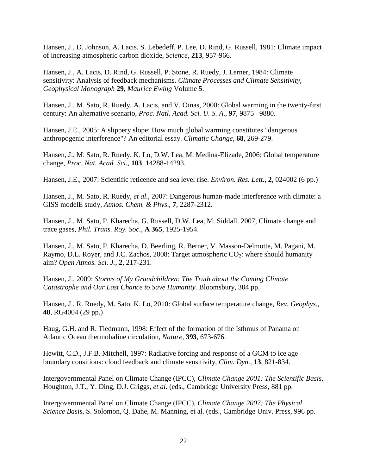Hansen, J., D. Johnson, A. Lacis, S. Lebedeff, P. Lee, D. Rind, G. Russell, 1981: Climate impact of increasing atmospheric carbon dioxide, *Science*, **213**, 957-966.

Hansen, J., A. Lacis, D. Rind, G. Russell, P. Stone, R. Ruedy, J. Lerner, 1984: Climate sensitivity: Analysis of feedback mechanisms. *Climate Processes and Climate Sensitivity*, *Geophysical Monograph* **29**, *Maurice Ewing* Volume **5**.

Hansen, J., M. Sato, R. Ruedy, A. Lacis, and V. Oinas, 2000: Global warming in the twenty-first century: An alternative scenario, *Proc. Natl. Acad. Sci. U. S. A*., **97**, 9875– 9880.

Hansen, J.E., 2005: A slippery slope: How much global warming constitutes "dangerous anthropogenic interference"? An editorial essay. *Climatic Change*, **68**, 269-279.

Hansen, J., M. Sato, R. Ruedy, K. Lo, D.W. Lea, M. Medina-Elizade, 2006: Global temperature change, *Proc. Nat. Acad. Sci.*, **103**, 14288-14293.

Hansen, J.E., 2007: Scientific reticence and sea level rise. *Environ. Res. Lett.*, **2**, 024002 (6 pp.)

Hansen, J., M. Sato, R. Ruedy, *et al.,* 2007: Dangerous human-made interference with climate: a GISS modelE study, *Atmos. Chem. & Phys*., **7**, 2287-2312.

Hansen, J., M. Sato, P. Kharecha, G. Russell, D.W. Lea, M. Siddall. 2007, Climate change and trace gases, *Phil. Trans. Roy. Soc.,* **A 365**, 1925-1954.

Hansen, J., M. Sato, P. Kharecha, D. Beerling, R. Berner, V. Masson-Delmotte, M. Pagani, M. Raymo, D.L. Royer, and J.C. Zachos, 2008: Target atmospheric  $CO_2$ : where should humanity aim? *Open Atmos. Sci. J.*, **2**, 217-231.

Hansen, J., 2009: *Storms of My Grandchildren: The Truth about the Coming Climate Catastrophe and Our Last Chance to Save Humanity.* Bloomsbury, 304 pp.

Hansen, J., R. Ruedy, M. Sato, K. Lo, 2010: Global surface temperature change, *Rev. Geophys*., **48**, RG4004 (29 pp.)

Haug, G.H. and R. Tiedmann, 1998: Effect of the formation of the Isthmus of Panama on Atlantic Ocean thermohaline circulation, *Nature*, **393**, 673-676.

Hewitt, C.D., J.F.B. Mitchell, 1997: Radiative forcing and response of a GCM to ice age boundary consitions: cloud feedback and climate sensitivity, *Clim. Dyn.,* **13**, 821-834.

Intergovernmental Panel on Climate Change (IPCC), *Climate Change 2001: The Scientific Basis,*  Houghton, J.T., Y. Ding*,* D.J. Griggs, *et al.* (eds., Cambridge University Press, 881 pp.

Intergovernmental Panel on Climate Change (IPCC), *Climate Change 2007: The Physical Science Basis*, S. Solomon, Q. Dahe, M. Manning, et al. (eds., Cambridge Univ. Press, 996 pp.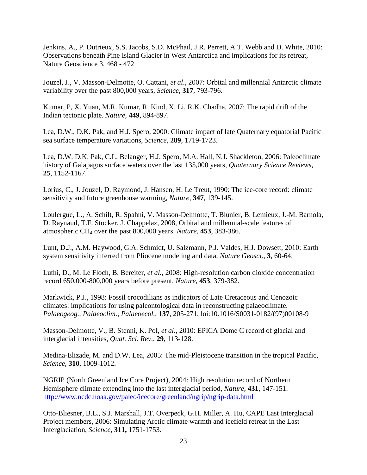Jenkins, A., P. Dutrieux, S.S. Jacobs, S.D. McPhail, J.R. Perrett, A.T. Webb and D. White, 2010: Observations beneath Pine Island Glacier in West Antarctica and implications for its retreat, Nature Geoscience 3, 468 - 472

Jouzel, J., V. Masson-Delmotte, O. Cattani, *et al*., 2007: Orbital and millennial Antarctic climate variability over the past 800,000 years, *Science*, **317**, 793-796.

Kumar, P, X. Yuan, M.R. Kumar, R. Kind, X. Li, R.K. Chadha, 2007: The rapid drift of the Indian tectonic plate. *Nature*, **449**, 894-897.

Lea, D.W., D.K. Pak, and H.J. Spero, 2000: Climate impact of late Quaternary equatorial Pacific sea surface temperature variations, *Science,* **289**, 1719-1723.

Lea, D.W. D.K. Pak, C.L. Belanger, H.J. Spero, M.A. Hall, N.J. Shackleton, 2006: Paleoclimate history of Galapagos surface waters over the last 135,000 years, *Quaternary Science Reviews*, **25**, 1152-1167.

Lorius, C., J. Jouzel, D. Raymond, J. Hansen, H. Le Treut, 1990: The ice-core record: climate sensitivity and future greenhouse warming, *Nature,* **347**, 139-145.

Loulergue, L., A. Schilt, R. Spahni, V. Masson-Delmotte, T. Blunier, B. Lemieux, J.-M. Barnola, D. Raynaud, T.F. Stocker, J. Chappelaz, 2008, Orbital and millennial-scale features of atmospheric CH4 over the past 800,000 years. *Nature*, **453**, 383-386.

Lunt, D.J., A.M. Haywood, G.A. Schmidt, U. Salzmann, P.J. Valdes, H.J. Dowsett, 2010: Earth system sensitivity inferred from Pliocene modeling and data, *Nature Geosci.*, **3**, 60-64.

Luthi, D., M. Le Floch, B. Bereiter, *et al.*, 2008: High-resolution carbon dioxide concentration record 650,000-800,000 years before present, *Nature*, **453**, 379-382.

Markwick, P.J., 1998: Fossil crocodilians as indicators of Late Cretaceous and Cenozoic climates: implications for using paleontological data in reconstructing palaeoclimate. *Palaeogeog., Palaeoclim., Palaeoecol.*, **137**, 205-271, loi:10.1016/S0031-0182/(97)00108-9

Masson-Delmotte, V., B. Stenni, K. Pol, *et al.,* 2010: EPICA Dome C record of glacial and interglacial intensities, *Quat. Sci. Rev*., **29**, 113-128.

Medina-Elizade, M. and D.W. Lea, 2005: The mid-Pleistocene transition in the tropical Pacific, *Science*, **310**, 1009-1012.

NGRIP (North Greenland Ice Core Project), 2004: High resolution record of Northern Hemisphere climate extending into the last interglacial period, *Nature*, **431**, 147-151. <http://www.ncdc.noaa.gov/paleo/icecore/greenland/ngrip/ngrip-data.html>

Otto-Bliesner, B.L., S.J. Marshall, J.T. Overpeck, G.H. Miller, A. Hu, CAPE Last Interglacial Project members, 2006: Simulating Arctic climate warmth and icefield retreat in the Last Interglaciation, *Science,* **311,** 1751-1753.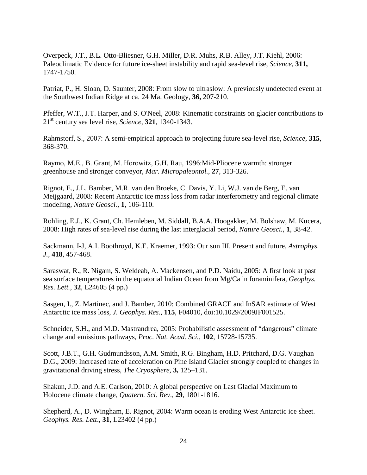Overpeck, J.T., B.L. Otto-Bliesner, G.H. Miller, D.R. Muhs, R.B. Alley, J.T. Kiehl, 2006: Paleoclimatic Evidence for future ice-sheet instability and rapid sea-level rise, *Science,* **311,** 1747-1750*.*

Patriat, P., H. Sloan, D. Saunter, 2008: From slow to ultraslow: A previously undetected event at the Southwest Indian Ridge at ca. 24 Ma. Geology, **36,** 207-210.

Pfeffer, W.T., J.T. Harper, and S. O'Neel, 2008: Kinematic constraints on glacier contributions to 21st century sea level rise, *Science*, **321**, 1340-1343.

Rahmstorf, S., 2007: A semi-empirical approach to projecting future sea-level rise, *Science*, **315**, 368-370.

Raymo, M.E., B. Grant, M. Horowitz, G.H. Rau, 1996:Mid-Pliocene warmth: stronger greenhouse and stronger conveyor, *Mar. Micropaleontol.*, **27**, 313-326.

Rignot, E., J.L. Bamber, M.R. van den Broeke, C. Davis, Y. Li, W.J. van de Berg, E. van Meijgaard, 2008: Recent Antarctic ice mass loss from radar interferometry and regional climate modeling, *Nature Geosci.*, **1**, 106-110.

Rohling, E.J., K. Grant, Ch. Hemleben, M. Siddall, B.A.A. Hoogakker, M. Bolshaw, M. Kucera, 2008: High rates of sea-level rise during the last interglacial period, *Nature Geosci.*, **1**, 38-42.

Sackmann, I-J, A.I. Boothroyd, K.E. Kraemer, 1993: Our sun III. Present and future, *Astrophys. J.*, **418**, 457-468.

Saraswat, R., R. Nigam, S. Weldeab, A. Mackensen, and P.D. Naidu, 2005: A first look at past sea surface temperatures in the equatorial Indian Ocean from Mg/Ca in foraminifera, *Geophys. Res. Lett.*, **32**, L24605 (4 pp.)

Sasgen, I., Z. Martinec, and J. Bamber, 2010: Combined GRACE and InSAR estimate of West Antarctic ice mass loss, *J. Geophys. Res.*, **115**, F04010, doi:10.1029/2009JF001525.

Schneider, S.H., and M.D. Mastrandrea, 2005: Probabilistic assessment of "dangerous" climate change and emissions pathways, *Proc. Nat. Acad. Sci.*, **102**, 15728-15735.

Scott, J.B.T., G.H. Gudmundsson, A.M. Smith, R.G. Bingham, H.D. Pritchard, D.G. Vaughan D.G., 2009: [Increased rate of acceleration on Pine Island Glacier strongly coupled to changes in](http://www.the-cryosphere.net/3/125/2009/tc-3-125-2009.html)  [gravitational driving stress,](http://www.the-cryosphere.net/3/125/2009/tc-3-125-2009.html) *The Cryosphere,* **3,** 125–131.

Shakun, J.D. and A.E. Carlson, 2010: A global perspective on Last Glacial Maximum to Holocene climate change, *Quatern. Sci. Rev*., **29**, 1801-1816.

Shepherd, A., D. Wingham, E. Rignot, 2004: Warm ocean is eroding West Antarctic ice sheet. *Geophys. Res. Lett*., **31**, L23402 (4 pp.)